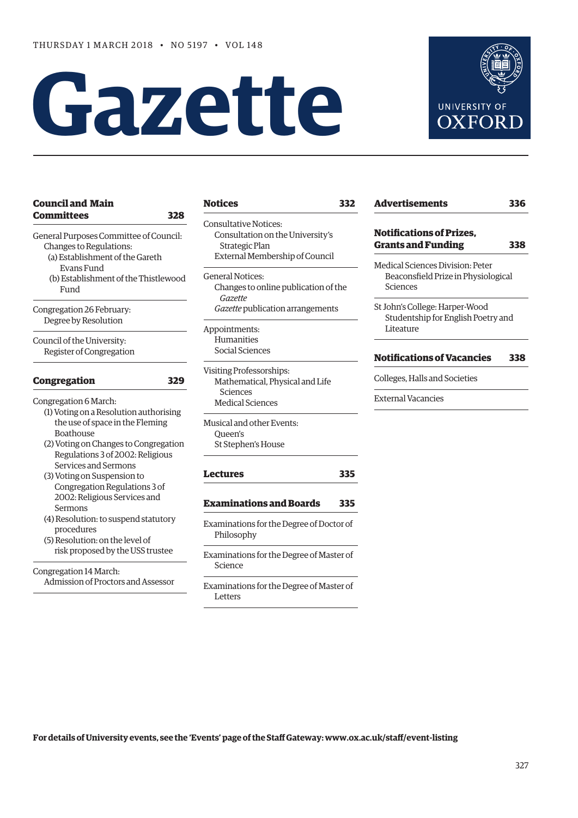# **Gazette**



#### **[Council and Main](#page-1-0)  Committees 328** General Purposes Committee of Council: Changes to Regulations: (a) Establishment of the Gareth Evans Fund (b) Establishment of the Thistlewood Fund Congregation 26 February: Degree by Resolution Council of the University: Register of Congregation **[Congregation 329](#page-2-0)** Congregation 6 March: (1) Voting on a Resolution authorising the use of space in the Fleming Boathouse (2) Voting on Changes to Congregation Regulations 3 of 2002: Religious Services and Sermons (3) Voting on Suspension to Congregation Regulations 3 of 2002: Religious Services and Sermons (4) Resolution: to suspend statutory procedures (5) Resolution: on the level of risk proposed by the USS trustee Congregation 14 March: Admission of Proctors and Assessor

### **[Notices](#page-5-0) 332**

- Consultative Notices: Consultation on the University's Strategic Plan External Membership of Council
- General Notices: Changes to online publication of the *Gazette Gazette* publication arrangements
- Appointments: Humanities Social Sciences
- Visiting Professorships: Mathematical, Physical and Life Sciences Medical Sciences
- Musical and other Events: Queen's St Stephen's House

#### **[Lectures](#page-8-0) 335**

**[Examinations and Boards 335](#page-8-0)**

- Examinations for the Degree of Doctor of Philosophy
- Examinations for the Degree of Master of Science
- Examinations for the Degree of Master of Letters

| <b>Notifications of Prizes,</b>     |     |
|-------------------------------------|-----|
| <b>Grants and Funding</b>           | 338 |
| Medical Sciences Division: Peter    |     |
| Beaconsfield Prize in Physiological |     |
| Sciences                            |     |
| St John's College: Harper-Wood      |     |
| Studentship for English Poetry and  |     |
| Liteature                           |     |

Colleges, Halls and Societies

External Vacancies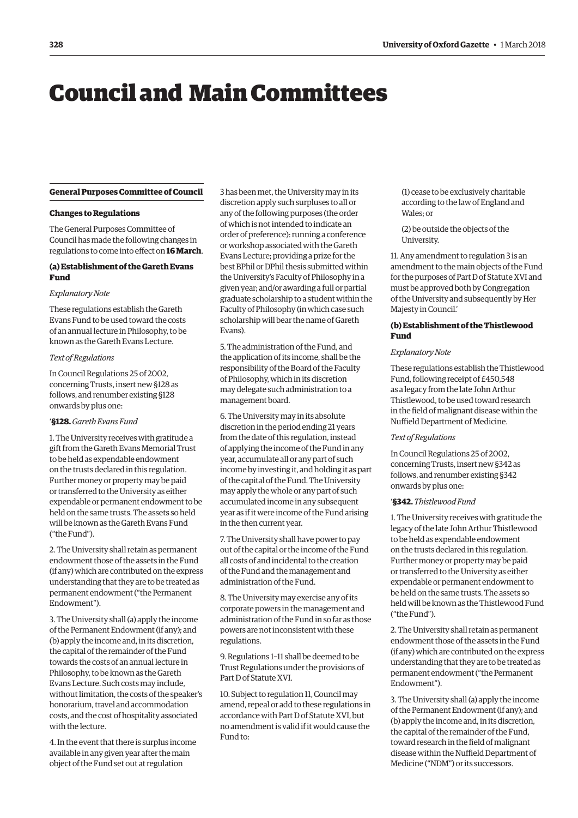## <span id="page-1-0"></span>Council and Main Committees

#### **General Purposes Committee of Council**

#### **Changes to Regulations**

The General Purposes Committee of Council has made the following changes in regulations to come into effect on **16 March**.

#### **(a) Establishment of the Gareth Evans Fund**

#### *Explanatory Note*

These regulations establish the Gareth Evans Fund to be used toward the costs of an annual lecture in Philosophy, to be known as the Gareth Evans Lecture.

#### *Text of Regulations*

In Council Regulations 25 of 2002, concerning Trusts, insert new §128 as follows, and renumber existing §128 onwards by plus one:

#### '**§128.** *Gareth Evans Fund*

1. The University receives with gratitude a gift from the Gareth Evans Memorial Trust to be held as expendable endowment on the trusts declared in this regulation. Further money or property may be paid or transferred to the University as either expendable or permanent endowment to be held on the same trusts. The assets so held will be known as the Gareth Evans Fund ("the Fund").

2. The University shall retain as permanent endowment those of the assets in the Fund (if any) which are contributed on the express understanding that they are to be treated as permanent endowment ("the Permanent Endowment").

3. The University shall (a) apply the income of the Permanent Endowment (if any); and (b) apply the income and, in its discretion, the capital of the remainder of the Fund towards the costs of an annual lecture in Philosophy, to be known as the Gareth Evans Lecture. Such costs may include, without limitation, the costs of the speaker's honorarium, travel and accommodation costs, and the cost of hospitality associated with the lecture.

4. In the event that there is surplus income available in any given year after the main object of the Fund set out at regulation

3 has been met, the University may in its discretion apply such surpluses to all or any of the following purposes (the order of which is not intended to indicate an order of preference): running a conference or workshop associated with the Gareth Evans Lecture; providing a prize for the best BPhil or DPhil thesis submitted within the University's Faculty of Philosophy in a given year; and/or awarding a full or partial graduate scholarship to a student within the Faculty of Philosophy (in which case such scholarship will bear the name of Gareth Evans).

5. The administration of the Fund, and the application of its income, shall be the responsibility of the Board of the Faculty of Philosophy, which in its discretion may delegate such administration to a management board.

6. The University may in its absolute discretion in the period ending 21 years from the date of this regulation, instead of applying the income of the Fund in any year, accumulate all or any part of such income by investing it, and holding it as part of the capital of the Fund. The University may apply the whole or any part of such accumulated income in any subsequent year as if it were income of the Fund arising in the then current year.

7. The University shall have power to pay out of the capital or the income of the Fund all costs of and incidental to the creation of the Fund and the management and administration of the Fund.

8. The University may exercise any of its corporate powers in the management and administration of the Fund in so far as those powers are not inconsistent with these regulations.

9. Regulations 1–11 shall be deemed to be Trust Regulations under the provisions of Part D of Statute XVI.

10. Subject to regulation 11, Council may amend, repeal or add to these regulations in accordance with Part D of Statute XVI, but no amendment is valid if it would cause the Fund to:

(1) cease to be exclusively charitable according to the law of England and Wales; or

(2) be outside the objects of the University.

11. Any amendment to regulation 3 is an amendment to the main objects of the Fund for the purposes of Part D of Statute XVI and must be approved both by Congregation of the University and subsequently by Her Majesty in Council.'

#### **(b) Establishment of the Thistlewood Fund**

#### *Explanatory Note*

These regulations establish the Thistlewood Fund, following receipt of £450,548 as a legacy from the late John Arthur Thistlewood, to be used toward research in the field of malignant disease within the Nuffield Department of Medicine.

#### *Text of Regulations*

In Council Regulations 25 of 2002, concerning Trusts, insert new §342 as follows, and renumber existing §342 onwards by plus one:

#### '**§342.** *Thistlewood Fund*

1. The University receives with gratitude the legacy of the late John Arthur Thistlewood to be held as expendable endowment on the trusts declared in this regulation. Further money or property may be paid or transferred to the University as either expendable or permanent endowment to be held on the same trusts. The assets so held will be known as the Thistlewood Fund ("the Fund").

2. The University shall retain as permanent endowment those of the assets in the Fund (if any) which are contributed on the express understanding that they are to be treated as permanent endowment ("the Permanent Endowment").

3. The University shall (a) apply the income of the Permanent Endowment (if any); and (b) apply the income and, in its discretion, the capital of the remainder of the Fund, toward research in the field of malignant disease within the Nuffield Department of Medicine ("NDM") or its successors.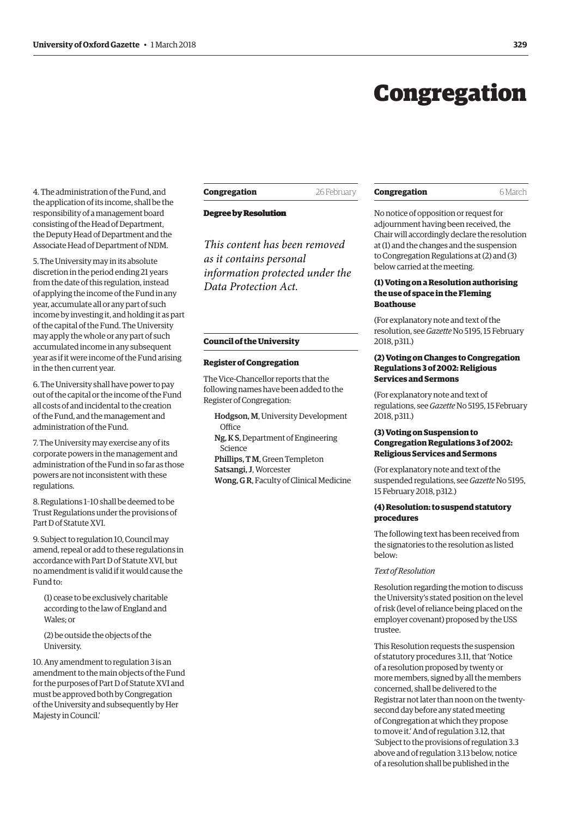## Congregation

<span id="page-2-0"></span>4. The administration of the Fund, and the application of its income, shall be the responsibility of a management board consisting of the Head of Department, the Deputy Head of Department and the Associate Head of Department of NDM.

5. The University may in its absolute discretion in the period ending 21 years from the date of this regulation, instead of applying the income of the Fund in any year, accumulate all or any part of such income by investing it, and holding it as part of the capital of the Fund. The University may apply the whole or any part of such accumulated income in any subsequent year as if it were income of the Fund arising in the then current year.

6. The University shall have power to pay out of the capital or the income of the Fund all costs of and incidental to the creation of the Fund, and the management and administration of the Fund.

7. The University may exercise any of its corporate powers in the management and administration of the Fund in so far as those powers are not inconsistent with these regulations.

8. Regulations 1–10 shall be deemed to be Trust Regulations under the provisions of Part D of Statute XVI.

9. Subject to regulation 10, Council may amend, repeal or add to these regulations in accordance with Part D of Statute XVI, but no amendment is valid if it would cause the Fund to:

(1) cease to be exclusively charitable according to the law of England and Wales; or

(2) be outside the objects of the University.

10. Any amendment to regulation 3 is an amendment to the main objects of the Fund for the purposes of Part D of Statute XVI and must be approved both by Congregation of the University and subsequently by Her Majesty in Council.'

**Congregation** 26 February

#### **Degree by Resolution Degree by Resolution**

*This content has been removed as it contains personal information protected under the Data Protection Act.*

#### **Council of the University**

#### **Register of Congregation**

The Vice-Chancellor reports that the following names have been added to the Register of Congregation:

Hodgson, M, University Development **Office** Ng, K S, Department of Engineering Science Phillips, T M, Green Templeton Satsangi, J, Worcester Wong, G R, Faculty of Clinical Medicine

#### **Congregation** 6 March

No notice of opposition or request for adjournment having been received, the Chair will accordingly declare the resolution at (1) and the changes and the suspension to Congregation Regulations at (2) and (3) below carried at the meeting.

#### **(1) Voting on a Resolution authorising the use of space in the Fleming Boathouse**

(For explanatory note and text of the resolution, see *Gazette* [No 5195, 15 February](http://www.ox.ac.uk/gazette/2017-2018/15february2018-no5195/congregation/#cong2)  2018, p311.)

#### **(2) Voting on Changes to Congregation Regulations 3 of 2002: Religious Services and Sermons**

(For explanatory note and text of regulations, see *Gazette* [No 5195, 15 February](http://www.ox.ac.uk/gazette/2017-2018/15february2018-no5195/congregation/#cong3)  2018, p311.)

#### **(3) Voting on Suspension to Congregation Regulations 3 of 2002: Religious Services and Sermons**

(For explanatory note and text of the [suspended regulations, see](http://www.ox.ac.uk/gazette/2017-2018/15february2018-no5195/congregation/#cong4) *Gazette* No 5195, 15 February 2018, p312.)

#### **(4) Resolution: to suspend statutory procedures**

The following text has been received from the signatories to the resolution as listed below:

#### *Text of Resolution*

Resolution regarding the motion to discuss the University's stated position on the level of risk (level of reliance being placed on the employer covenant) proposed by the USS trustee.

This Resolution requests the suspension of statutory procedures 3.11, that 'Notice of a resolution proposed by twenty or more members, signed by all the members concerned, shall be delivered to the Registrar not later than noon on the twentysecond day before any stated meeting of Congregation at which they propose to move it.' And of regulation 3.12, that 'Subject to the provisions of regulation 3.3 above and of regulation 3.13 below, notice of a resolution shall be published in the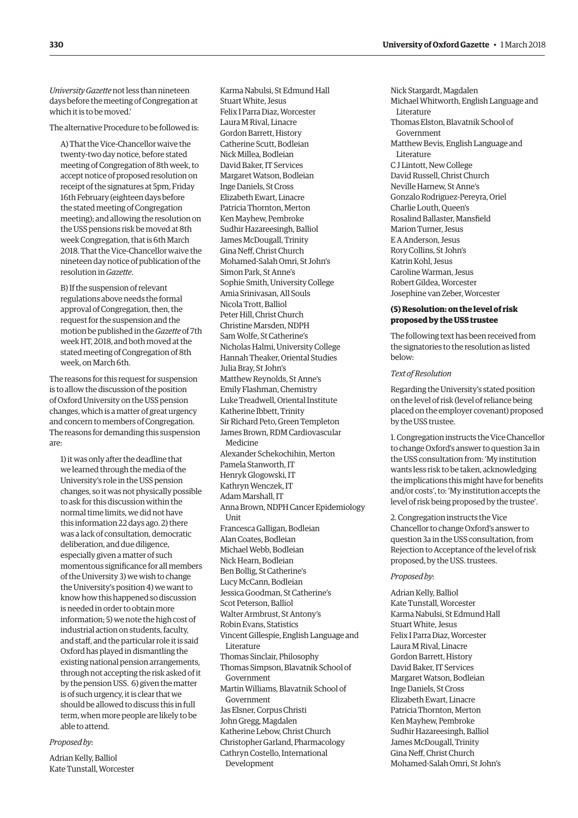*University Gazette* not less than nineteen days before the meeting of Congregation at which it is to be moved.'

The alternative Procedure to be followed is:

A) That the Vice-Chancellor waive the twenty-two day notice, before stated meeting of Congregation of 8th week, to accept notice of proposed resolution on receipt of the signatures at 5pm, Friday 16th February (eighteen days before the stated meeting of Congregation meeting); and allowing the resolution on the USS pensions risk be moved at 8th week Congregation, that is 6th March 2018. That the Vice-Chancellor waive the nineteen day notice of publication of the resolution in *Gazette*.

B) If the suspension of relevant regulations above needs the formal approval of Congregation, then, the request for the suspension and the motion be published in the *Gazette* of 7th week HT, 2018, and both moved at the stated meeting of Congregation of 8th week, on March 6th.

The reasons for this request for suspension is to allow the discussion of the position of Oxford University on the USS pension changes, which is a matter of great urgency and concern to members of Congregation. The reasons for demanding this suspension are:

1) it was only after the deadline that we learned through the media of the University's role in the USS pension changes, so it was not physically possible to ask for this discussion within the normal time limits, we did not have this information 22 days ago. 2) there was a lack of consultation, democratic deliberation, and due diligence, especially given a matter of such momentous significance for all members of the University 3) we wish to change the University's position 4) we want to know how this happened so discussion is needed in order to obtain more information; 5) we note the high cost of industrial action on students, faculty, and staff, and the particular role it is said Oxford has played in dismantling the existing national pension arrangements, through not accepting the risk asked of it by the pension USS. 6) given the matter is of such urgency, it is clear that we should be allowed to discuss this in full term, when more people are likely to be able to attend.

#### *Proposed by*:

Adrian Kelly, Balliol Kate Tunstall, Worcester Karma Nabulsi, St Edmund Hall Stuart White, Jesus Felix I Parra Diaz, Worcester Laura M Rival, Linacre Gordon Barrett, History Catherine Scutt, Bodleian Nick Millea, Bodleian David Baker, IT Services Margaret Watson, Bodleian Inge Daniels, St Cross Elizabeth Ewart, Linacre Patricia Thornton, Merton Ken Mayhew, Pembroke Sudhir Hazareesingh, Balliol James McDougall, Trinity Gina Neff, Christ Church Mohamed-Salah Omri, St John's Simon Park, St Anne's Sophie Smith, University College Amia Srinivasan, All Souls Nicola Trott, Balliol Peter Hill, Christ Church Christine Marsden, NDPH Sam Wolfe, St Catherine's Nicholas Halmi, University College Hannah Theaker, Oriental Studies Julia Bray, St John's Matthew Reynolds, St Anne's Emily Flashman, Chemistry Luke Treadwell, Oriental Institute Katherine Ibbett, Trinity Sir Richard Peto, Green Templeton James Brown, RDM Cardiovascular Medicine Alexander Schekochihin, Merton Pamela Stanworth, IT Henryk Glogowski, IT Kathryn Wenczek, IT Adam Marshall, IT Anna Brown, NDPH Cancer Epidemiology **Unit** Francesca Galligan, Bodleian Alan Coates, Bodleian Michael Webb, Bodleian Nick Hearn, Bodleian Ben Bollig, St Catherine's Lucy McCann, Bodleian Jessica Goodman, St Catherine's Scot Peterson, Balliol Walter Armbrust, St Antony's Robin Evans, Statistics Vincent Gillespie, English Language and Literature Thomas Sinclair, Philosophy Thomas Simpson, Blavatnik School of Government Martin Williams, Blavatnik School of Government Jas Elsner, Corpus Christi John Gregg, Magdalen Katherine Lebow, Christ Church Christopher Garland, Pharmacology Cathryn Costello, International

Development

Nick Stargardt, Magdalen Michael Whitworth, English Language and Literature Thomas Elston, Blavatnik School of Government Matthew Bevis, English Language and Literature C J Lintott, New College David Russell, Christ Church Neville Harnew, St Anne's Gonzalo Rodriguez-Pereyra, Oriel Charlie Louth, Queen's Rosalind Ballaster, Mansfield Marion Turner, Jesus E A Anderson, Jesus Rory Collins, St John's Katrin Kohl, Jesus Caroline Warman, Jesus Robert Gildea, Worcester Josephine van Zeber, Worcester

#### **(5) Resolution: on the level of risk proposed by the USS trustee**

The following text has been received from the signatories to the resolution as listed below:

#### *Text of Resolution*

Regarding the University's stated position on the level of risk (level of reliance being placed on the employer covenant) proposed by the USS trustee.

1. Congregation instructs the Vice Chancellor to change Oxford's answer to question 3a in the USS consultation from: 'My institution wants less risk to be taken, acknowledging the implications this might have for benefits and/or costs', to: 'My institution accepts the level of risk being proposed by the trustee'.

2. Congregation instructs the Vice Chancellor to change Oxford's answer to question 3a in the USS consultation, from Rejection to Acceptance of the level of risk proposed, by the USS. trustees.

#### *Proposed by*:

Adrian Kelly, Balliol Kate Tunstall, Worcester Karma Nabulsi, St Edmund Hall Stuart White, Jesus Felix I Parra Diaz, Worcester Laura M Rival, Linacre Gordon Barrett, History David Baker, IT Services Margaret Watson, Bodleian Inge Daniels, St Cross Elizabeth Ewart, Linacre Patricia Thornton, Merton Ken Mayhew, Pembroke Sudhir Hazareesingh, Balliol James McDougall, Trinity Gina Neff, Christ Church Mohamed-Salah Omri, St John's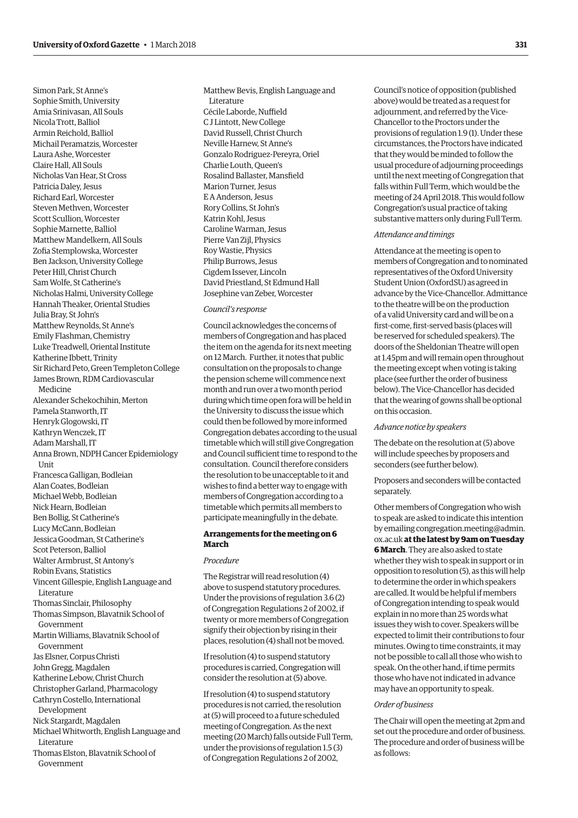Simon Park, St Anne's Sophie Smith, University Amia Srinivasan, All Souls Nicola Trott, Balliol Armin Reichold, Balliol Michail Peramatzis, Worcester Laura Ashe, Worcester Claire Hall, All Souls Nicholas Van Hear, St Cross Patricia Daley, Jesus Richard Earl, Worcester Steven Methven, Worcester Scott Scullion, Worcester Sophie Marnette, Balliol Matthew Mandelkern, All Souls Zofia Stemplowska, Worcester Ben Jackson, University College Peter Hill, Christ Church Sam Wolfe, St Catherine's Nicholas Halmi, University College Hannah Theaker, Oriental Studies Julia Bray, St John's Matthew Reynolds, St Anne's Emily Flashman, Chemistry Luke Treadwell, Oriental Institute Katherine Ibbett, Trinity Sir Richard Peto, Green Templeton College James Brown, RDM Cardiovascular Medicine Alexander Schekochihin, Merton Pamela Stanworth, IT Henryk Glogowski, IT Kathryn Wenczek, IT Adam Marshall, IT Anna Brown, NDPH Cancer Epidemiology Unit Francesca Galligan, Bodleian Alan Coates, Bodleian Michael Webb, Bodleian Nick Hearn, Bodleian Ben Bollig, St Catherine's Lucy McCann, Bodleian Jessica Goodman, St Catherine's Scot Peterson, Balliol Walter Armbrust, St Antony's Robin Evans, Statistics Vincent Gillespie, English Language and Literature Thomas Sinclair, Philosophy Thomas Simpson, Blavatnik School of Government Martin Williams, Blavatnik School of Government Jas Elsner, Corpus Christi John Gregg, Magdalen Katherine Lebow, Christ Church Christopher Garland, Pharmacology Cathryn Costello, International Development Nick Stargardt, Magdalen Michael Whitworth, English Language and Literature Thomas Elston, Blavatnik School of Government

Matthew Bevis, English Language and Literature Cécile Laborde, Nuffield C J Lintott, New College David Russell, Christ Church Neville Harnew, St Anne's Gonzalo Rodriguez-Pereyra, Oriel Charlie Louth, Queen's Rosalind Ballaster, Mansfield Marion Turner, Jesus E A Anderson, Jesus Rory Collins, St John's Katrin Kohl, Jesus Caroline Warman, Jesus Pierre Van Zijl, Physics Roy Wastie, Physics Philip Burrows, Jesus Cigdem Issever, Lincoln David Priestland, St Edmund Hall Josephine van Zeber, Worcester

#### *Council's response*

Council acknowledges the concerns of members of Congregation and has placed the item on the agenda for its next meeting on 12 March. Further, it notes that public consultation on the proposals to change the pension scheme will commence next month and run over a two month period during which time open fora will be held in the University to discuss the issue which could then be followed by more informed Congregation debates according to the usual timetable which will still give Congregation and Council sufficient time to respond to the consultation. Council therefore considers the resolution to be unacceptable to it and wishes to find a better way to engage with members of Congregation according to a timetable which permits all members to participate meaningfully in the debate.

#### **Arrangements for the meeting on 6 March**

#### *Procedure*

The Registrar will read resolution (4) above to suspend statutory procedures. Under the provisions of regulation 3.6 (2) of Congregation Regulations 2 of 2002, if twenty or more members of Congregation signify their objection by rising in their places, resolution (4) shall not be moved.

If resolution (4) to suspend statutory procedures is carried, Congregation will consider the resolution at (5) above.

If resolution (4) to suspend statutory procedures is not carried, the resolution at (5) will proceed to a future scheduled meeting of Congregation. As the next meeting (20 March) falls outside Full Term, under the provisions of regulation 1.5 (3) of Congregation Regulations 2 of 2002,

Council's notice of opposition (published above) would be treated as a request for adjournment, and referred by the Vice-Chancellor to the Proctors under the provisions of regulation 1.9 (1). Under these circumstances, the Proctors have indicated that they would be minded to follow the usual procedure of adjourning proceedings until the next meeting of Congregation that falls within Full Term, which would be the meeting of 24 April 2018. This would follow Congregation's usual practice of taking substantive matters only during Full Term.

#### *Attendance and timings*

Attendance at the meeting is open to members of Congregation and to nominated representatives of the Oxford University Student Union (OxfordSU) as agreed in advance by the Vice-Chancellor. Admittance to the theatre will be on the production of a valid University card and will be on a first-come, first-served basis (places will be reserved for scheduled speakers). The doors of the Sheldonian Theatre will open at 1.45pm and will remain open throughout the meeting except when voting is taking place (see further the order of business below). The Vice-Chancellor has decided that the wearing of gowns shall be optional on this occasion.

#### *Advance notice by speakers*

The debate on the resolution at (5) above will include speeches by proposers and seconders (see further below).

#### Proposers and seconders will be contacted separately.

Other members of Congregation who wish to speak are asked to indicate this intention [by emailing congregation.meeting@admin.](mailto:congregation.meeting@admin.ox.ac.uk) ox.ac.uk **at the latest by 9am on Tuesday 6 March**. They are also asked to state whether they wish to speak in support or in opposition to resolution (5), as this will help to determine the order in which speakers are called. It would be helpful if members of Congregation intending to speak would explain in no more than 25 words what issues they wish to cover. Speakers will be expected to limit their contributions to four minutes. Owing to time constraints, it may not be possible to call all those who wish to speak. On the other hand, if time permits those who have not indicated in advance may have an opportunity to speak.

#### *Order of business*

The Chair will open the meeting at 2pm and set out the procedure and order of business. The procedure and order of business will be as follows: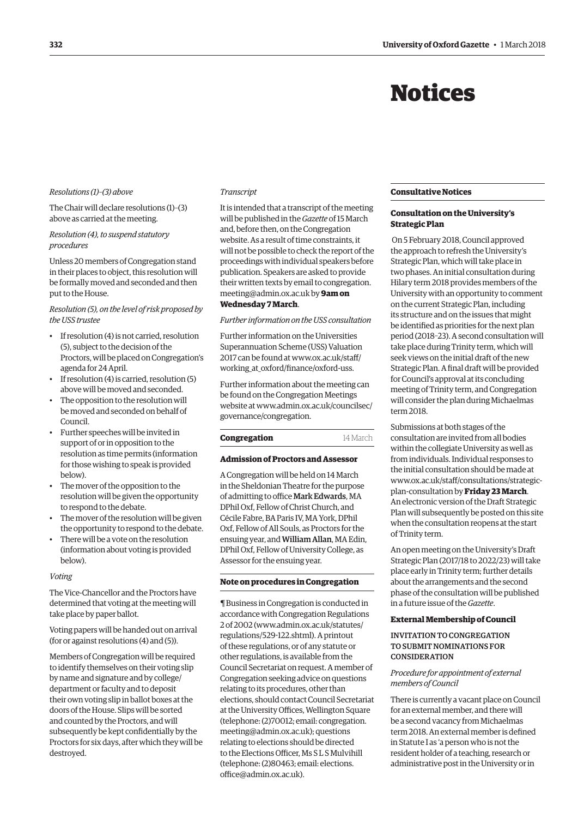## Notices

#### <span id="page-5-0"></span>*Resolutions (1)–(3) above*

The Chair will declare resolutions (1)–(3) above as carried at the meeting.

#### *Resolution (4), to suspend statutory procedures*

Unless 20 members of Congregation stand in their places to object, this resolution will be formally moved and seconded and then put to the House.

#### *Resolution (5), on the level of risk proposed by the USS trustee*

- If resolution (4) is not carried, resolution (5), subject to the decision of the Proctors, will be placed on Congregation's agenda for 24 April.
- If resolution (4) is carried, resolution (5) above will be moved and seconded.
- The opposition to the resolution will be moved and seconded on behalf of Council.
- Further speeches will be invited in support of or in opposition to the resolution as time permits (information for those wishing to speak is provided below).
- The mover of the opposition to the resolution will be given the opportunity to respond to the debate.
- The mover of the resolution will be given the opportunity to respond to the debate.
- There will be a vote on the resolution (information about voting is provided below).

#### *Voting*

The Vice-Chancellor and the Proctors have determined that voting at the meeting will take place by paper ballot.

Voting papers will be handed out on arrival (for or against resolutions (4) and (5)).

Members of Congregation will be required to identify themselves on their voting slip by name and signature and by college/ department or faculty and to deposit their own voting slip in ballot boxes at the doors of the House. Slips will be sorted and counted by the Proctors, and will subsequently be kept confidentially by the Proctors for six days, after which they will be destroyed.

#### *Transcript*

It is intended that a transcript of the meeting will be published in the *Gazette* of 15 March and, before then, on the Congregation website. As a result of time constraints, it will not be possible to check the report of the proceedings with individual speakers before publication. Speakers are asked to provide [their written texts by email to congregation.](mailto:congregation.meeting@admin.ox.ac.uk) meeting@admin.ox.ac.uk by **9am on** 

#### **Wednesday 7 March**.

#### *Further information on the USS consultation*

Further information on the Universities Superannuation Scheme (USS) Valuation [2017 can be found at www.ox.ac.uk/staff/](www.ox.ac.uk/staff/working_at_oxford/finance/oxford-uss) working\_at\_oxford/finance/oxford-uss.

Further information about the meeting can be found on the Congregation Meetings [website at www.admin.ox.ac.uk/councilsec/](www.admin.ox.ac.uk/councilsec/governance/congregation) governance/congregation.

#### **Congregation** 14 March

#### **Admission of Proctors and Assessor**

A Congregation will be held on 14 March in the Sheldonian Theatre for the purpose of admitting to office Mark Edwards, MA DPhil Oxf, Fellow of Christ Church, and Cécile Fabre, BA Paris IV, MA York, DPhil Oxf, Fellow of All Souls, as Proctors for the ensuing year, and William Allan, MA Edin, DPhil Oxf, Fellow of University College, as Assessor for the ensuing year.

#### **Note on procedures in Congregation**

¶ Business in Congregation is conducted in accordance with Congregation Regulations 2 of 2002 [\(www.admin.ox.ac.uk/statutes/](http://www.admin.ox.ac.uk/statutes/regulations/529-122.shtml) [regulations/529-122.shtml\). A p](http://www.admin.ox.ac.uk/statutes/regulations/529-122.shtml)rintout of these regulations, or of any statute or other regulations, is available from the Council Secretariat on request. A member of Congregation seeking advice on questions relating to its procedures, other than elections, should contact Council Secretariat at the University Offices, Wellington Square [\(telephone: \(2\)70012; email: congregation.](mailto:congregation.meeting@admin.ox.ac.uk) meeting@admin.ox.ac.uk); questions relating to elections should be directed to the Elections Officer, Ms S L S Mulvihill [\(telephone: \(2\)80463; email: elections.](mailto:elections.office@admin.ox.ac.uk) office@admin.ox.ac.uk).

#### **Consultative Notices**

#### **Consultation on the University's Strategic Plan**

 On 5 February 2018, Council approved the approach to refresh the University's Strategic Plan, which will take place in two phases. An initial consultation during Hilary term 2018 provides members of the University with an opportunity to comment on the current Strategic Plan, including its structure and on the issues that might be identified as priorities for the next plan period (2018–23). A second consultation will take place during Trinity term, which will seek views on the initial draft of the new Strategic Plan. A final draft will be provided for Council's approval at its concluding meeting of Trinity term, and Congregation will consider the plan during Michaelmas term 2018.

Submissions at both stages of the consultation are invited from all bodies within the collegiate University as well as from individuals. Individual responses to the initial consultation should be made at [www.ox.ac.uk/staff/consultations/strategic](www.ox.ac.uk/staff/consultations/strategic-plan-consultation)plan-consultation by **Friday 23 March**. An electronic version of the Draft Strategic Plan will subsequently be posted on this site when the consultation reopens at the start of Trinity term.

An open meeting on the University's Draft Strategic Plan (2017/18 to 2022/23) will take place early in Trinity term; further details about the arrangements and the second phase of the consultation will be published in a future issue of the *Gazette*.

#### **External Membership of Council**

#### INVITATION TO CONGREGATION TO SUBMIT NOMINATIONS FOR **CONSIDERATION**

#### *Procedure for appointment of external members of Council*

There is currently a vacant place on Council for an external member, and there will be a second vacancy from Michaelmas term 2018. An external member is defined in Statute I as 'a person who is not the resident holder of a teaching, research or administrative post in the University or in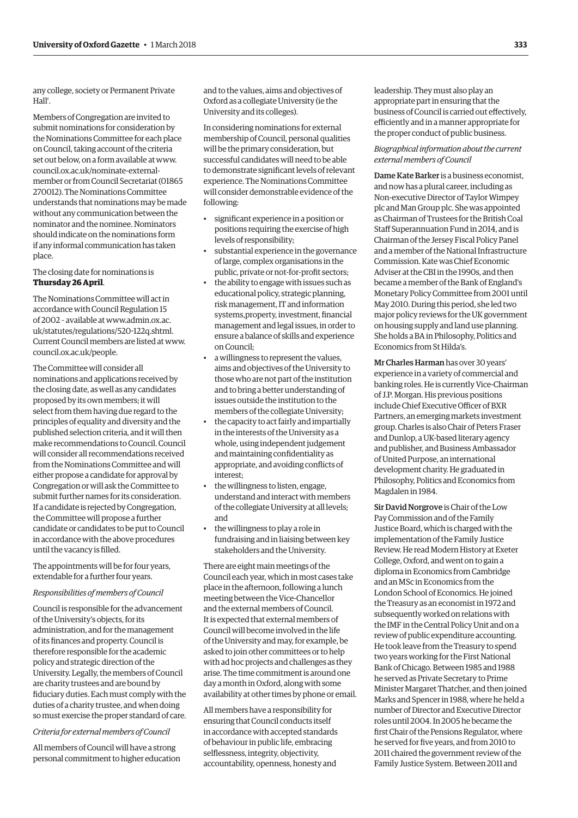any college, society or Permanent Private Hall'.

Members of Congregation are invited to submit nominations for consideration by the Nominations Committee for each place on Council, taking account of the criteria set out below, on a form available at www. council.ox.ac.uk/nominate-external[member or from Council Secretariat \(01865](www.council.ox.ac.uk/nominate-external-member)  270012). The Nominations Committee understands that nominations may be made without any communication between the nominator and the nominee. Nominators should indicate on the nominations form if any informal communication has taken place.

The closing date for nominations is **Thursday 26 April**.

The Nominations Committee will act in accordance with Council Regulation 15 [of 2002 – available at www.admin.ox.ac.](www.admin.ox.ac.uk/statutes/regulations/520-122q.shtml) uk/statutes/regulations/520-122q.shtml. Current Council members are listed at [www.](http://www.council.ox.ac.uk/people) [council.ox.ac.uk/people.](http://www.council.ox.ac.uk/people)

The Committee will consider all nominations and applications received by the closing date, as well as any candidates proposed by its own members; it will select from them having due regard to the principles of equality and diversity and the published selection criteria, and it will then make recommendations to Council. Council will consider all recommendations received from the Nominations Committee and will either propose a candidate for approval by Congregation or will ask the Committee to submit further names for its consideration. If a candidate is rejected by Congregation, the Committee will propose a further candidate or candidates to be put to Council in accordance with the above procedures until the vacancy is filled.

The appointments will be for four years, extendable for a further four years.

#### *Responsibilities of members of Council*

Council is responsible for the advancement of the University's objects, for its administration, and for the management of its finances and property. Council is therefore responsible for the academic policy and strategic direction of the University. Legally, the members of Council are charity trustees and are bound by fiduciary duties. Each must comply with the duties of a charity trustee, and when doing so must exercise the proper standard of care.

*Criteria for external members of Council*

All members of Council will have a strong personal commitment to higher education and to the values, aims and objectives of Oxford as a collegiate University (ie the University and its colleges).

In considering nominations for external membership of Council, personal qualities will be the primary consideration, but successful candidates will need to be able to demonstrate significant levels of relevant experience. The Nominations Committee will consider demonstrable evidence of the following:

- significant experience in a position or positions requiring the exercise of high levels of responsibility;
- substantial experience in the governance of large, complex organisations in the public, private or not-for-profit sectors;
- the ability to engage with issues such as educational policy, strategic planning, risk management, IT and information systems,property, investment, financial management and legal issues, in order to ensure a balance of skills and experience on Council;
- a willingness to represent the values, aims and objectives of the University to those who are not part of the institution and to bring a better understanding of issues outside the institution to the members of the collegiate University;
- the capacity to act fairly and impartially in the interests of the University as a whole, using independent judgement and maintaining confidentiality as appropriate, and avoiding conflicts of interest;
- the willingness to listen, engage, understand and interact with members of the collegiate University at all levels; and
- the willingness to play a role in fundraising and in liaising between key stakeholders and the University.

There are eight main meetings of the Council each year, which in most cases take place in the afternoon, following a lunch meeting between the Vice-Chancellor and the external members of Council. It is expected that external members of Council will become involved in the life of the University and may, for example, be asked to join other committees or to help with ad hoc projects and challenges as they arise. The time commitment is around one day a month in Oxford, along with some availability at other times by phone or email.

All members have a responsibility for ensuring that Council conducts itself in accordance with accepted standards of behaviour in public life, embracing selflessness, integrity, objectivity, accountability, openness, honesty and

leadership. They must also play an appropriate part in ensuring that the business of Council is carried out effectively, efficiently and in a manner appropriate for the proper conduct of public business.

#### *Biographical information about the current external members of Council*

Dame Kate Barker is a business economist, and now has a plural career, including as Non-executive Director of Taylor Wimpey plc and Man Group plc. She was appointed as Chairman of Trustees for the British Coal Staff Superannuation Fund in 2014, and is Chairman of the Jersey Fiscal Policy Panel and a member of the National Infrastructure Commission. Kate was Chief Economic Adviser at the CBI in the 1990s, and then became a member of the Bank of England's Monetary Policy Committee from 2001 until May 2010. During this period, she led two major policy reviews for the UK government on housing supply and land use planning. She holds a BA in Philosophy, Politics and Economics from St Hilda's.

Mr Charles Harman has over 30 years' experience in a variety of commercial and banking roles. He is currently Vice-Chairman of J.P. Morgan. His previous positions include Chief Executive Officer of BXR Partners, an emerging markets investment group. Charles is also Chair of Peters Fraser and Dunlop, a UK-based literary agency and publisher, and Business Ambassador of United Purpose, an international development charity. He graduated in Philosophy, Politics and Economics from Magdalen in 1984.

Sir David Norgrove is Chair of the Low Pay Commission and of the Family Justice Board, which is charged with the implementation of the Family Justice Review. He read Modern History at Exeter College, Oxford, and went on to gain a diploma in Economics from Cambridge and an MSc in Economics from the London School of Economics. He joined the Treasury as an economist in 1972 and subsequently worked on relations with the IMF in the Central Policy Unit and on a review of public expenditure accounting. He took leave from the Treasury to spend two years working for the First National Bank of Chicago. Between 1985 and 1988 he served as Private Secretary to Prime Minister Margaret Thatcher, and then joined Marks and Spencer in 1988, where he held a number of Director and Executive Director roles until 2004. In 2005 he became the first Chair of the Pensions Regulator, where he served for five years, and from 2010 to 2011 chaired the government review of the Family Justice System. Between 2011 and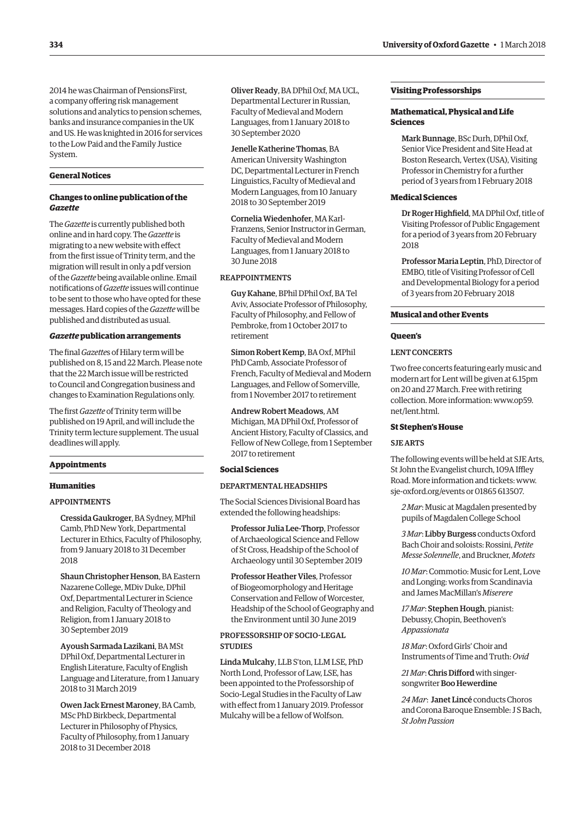2014 he was Chairman of PensionsFirst, a company offering risk management solutions and analytics to pension schemes, banks and insurance companies in the UK and US. He was knighted in 2016 for services to the Low Paid and the Family Justice System.

#### **General Notices**

#### **Changes to online publication of the**  *Gazette*

The *Gazette* is currently published both online and in hard copy. The *Gazette* is migrating to a new website with effect from the first issue of Trinity term, and the migration will result in only a pdf version of the *Gazette* being available online. Email notifications of *Gazette* issues will continue to be sent to those who have opted for these messages. Hard copies of the *Gazette* will be published and distributed as usual.

#### *Gazette* **publication arrangements**

The final *Gazette*s of Hilary term will be published on 8, 15 and 22 March. Please note that the 22 March issue will be restricted to Council and Congregation business and changes to Examination Regulations only.

The first *Gazette* of Trinity term will be published on 19 April, and will include the Trinity term lecture supplement. The usual deadlines will apply.

#### **Appointments**

#### **Humanities**

#### APPOINTMENTS

Cressida Gaukroger, BA Sydney, MPhil Camb, PhD New York, Departmental Lecturer in Ethics, Faculty of Philosophy, from 9 January 2018 to 31 December 2018

Shaun Christopher Henson, BA Eastern Nazarene College, MDiv Duke, DPhil Oxf, Departmental Lecturer in Science and Religion, Faculty of Theology and Religion, from 1 January 2018 to 30 September 2019

Ayoush Sarmada Lazikani, BA MSt DPhil Oxf, Departmental Lecturer in English Literature, Faculty of English Language and Literature, from 1 January 2018 to 31 March 2019

Owen Jack Ernest Maroney, BA Camb, MSc PhD Birkbeck, Departmental Lecturer in Philosophy of Physics, Faculty of Philosophy, from 1 January 2018 to 31 December 2018

Oliver Ready, BA DPhil Oxf, MA UCL, Departmental Lecturer in Russian, Faculty of Medieval and Modern Languages, from 1 January 2018 to 30 September 2020

Jenelle Katherine Thomas, BA American University Washington DC, Departmental Lecturer in French Linguistics, Faculty of Medieval and Modern Languages, from 10 January 2018 to 30 September 2019

Cornelia Wiedenhofer, MA Karl-Franzens, Senior Instructor in German, Faculty of Medieval and Modern Languages, from 1 January 2018 to 30 June 2018

#### REAPPOINTMENTS

Guy Kahane, BPhil DPhil Oxf, BA Tel Aviv, Associate Professor of Philosophy, Faculty of Philosophy, and Fellow of Pembroke, from 1 October 2017 to retirement

Simon Robert Kemp, BA Oxf, MPhil PhD Camb, Associate Professor of French, Faculty of Medieval and Modern Languages, and Fellow of Somerville, from 1 November 2017 to retirement

Andrew Robert Meadows, AM Michigan, MA DPhil Oxf, Professor of Ancient History, Faculty of Classics, and Fellow of New College, from 1 September 2017 to retirement

#### **Social Sciences**

#### DEPARTMENTAL HEADSHIPS

The Social Sciences Divisional Board has extended the following headships:

Professor Julia Lee-Thorp, Professor of Archaeological Science and Fellow of St Cross, Headship of the School of Archaeology until 30 September 2019

Professor Heather Viles, Professor of Biogeomorphology and Heritage Conservation and Fellow of Worcester, Headship of the School of Geography and the Environment until 30 June 2019

#### PROFESSORSHIP OF SOCIO-LEGAL **STUDIES**

Linda Mulcahy, LLB S'ton, LLM LSE, PhD North Lond, Professor of Law, LSE, has been appointed to the Professorship of Socio-Legal Studies in the Faculty of Law with effect from 1 January 2019. Professor Mulcahy will be a fellow of Wolfson.

#### **Visiting Professorships**

#### **Mathematical, Physical and Life Sciences**

Mark Bunnage, BSc Durh, DPhil Oxf, Senior Vice President and Site Head at Boston Research, Vertex (USA), Visiting Professor in Chemistry for a further period of 3 years from 1 February 2018

#### **Medical Sciences**

Dr Roger Highfield, MA DPhil Oxf, title of Visiting Professor of Public Engagement for a period of 3 years from 20 February 2018

Professor Maria Leptin, PhD, Director of EMBO, title of Visiting Professor of Cell and Developmental Biology for a period of 3 years from 20 February 2018

#### **Musical and other Events**

#### **Queen's**

#### LENT CONCERTS

Two free concerts featuring early music and modern art for Lent will be given at 6.15pm on 20 and 27 March. Free with retiring [collection. More information: www.op59.](www.op59.net/lent.html) net/lent.html.

#### **St Stephen's House**

#### SJE ARTS

The following events will be held at SJE Arts, St John the Evangelist church, 109A Iffley Road. More information and tickets: [www.](http://www.sje-oxford.org/events) [sje-oxford.org/events or](http://www.sje-oxford.org/events) 01865 613507.

*2 Mar*: Music at Magdalen presented by pupils of Magdalen College School

*3 Mar*: Libby Burgess conducts Oxford Bach Choir and soloists: Rossini, *Petite Messe Solennelle*, and Bruckner, *Motets*

*10 Mar*: Commotio: Music for Lent, Love and Longing: works from Scandinavia and James MacMillan's *Miserere*

*17 Mar*: Stephen Hough, pianist: Debussy, Chopin, Beethoven's *Appassionata*

*18 Mar*: Oxford Girls' Choir and Instruments of Time and Truth: *Ovid*

*21 Mar*: Chris Difford with singersongwriter Boo Hewerdine

*24 Mar*: Janet Lincé conducts Choros and Corona Baroque Ensemble: J S Bach, *St John Passion*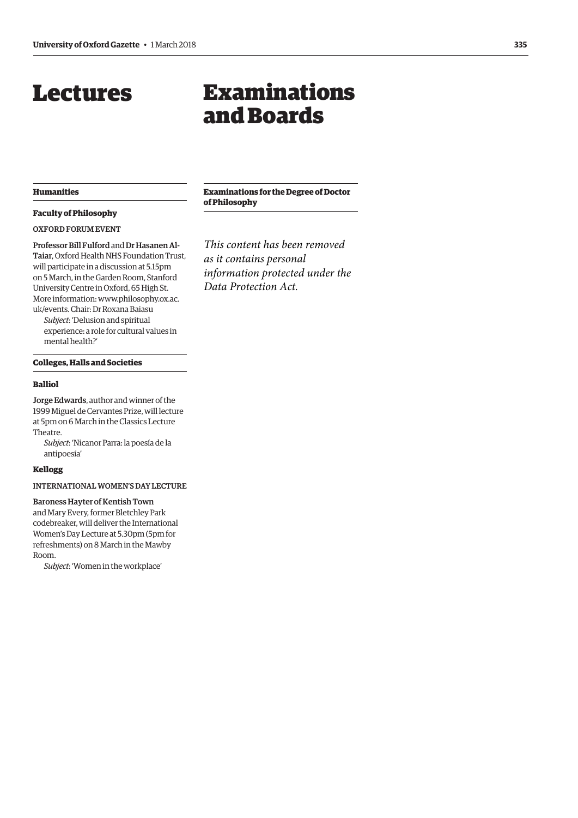## <span id="page-8-0"></span>Lectures

## Examinations and Boards

#### **Humanities**

#### **Faculty of Philosophy**

OXFORD FORUM EVENT

Professor Bill Fulford and Dr Hasanen Al-Taiar, Oxford Health NHS Foundation Trust, will participate in a discussion at 5.15pm on 5 March, in the Garden Room, Stanford University Centre in Oxford, 65 High St. [More information: www.philosophy.ox.ac.](www.philosophy.ox.ac.uk/events) uk/events. Chair: Dr Roxana Baiasu

*Subject*: 'Delusion and spiritual experience: a role for cultural values in mental health?'

#### **Colleges, Halls and Societies**

#### **Balliol**

Jorge Edwards, author and winner of the 1999 Miguel de Cervantes Prize, will lecture at 5pm on 6 March in the Classics Lecture Theatre.

*Subject*: 'Nicanor Parra: la poesía de la antipoesía'

#### **Kellogg**

INTERNATIONAL WOMEN'S DAY LECTURE

#### Baroness Hayter of Kentish Town

and Mary Every, former Bletchley Park codebreaker, will deliver the International Women's Day Lecture at 5.30pm (5pm for refreshments) on 8 March in the Mawby Room.

*Subject*: 'Women in the workplace'

**Examinations for the Degree of Doctor of Philosophy**

*This content has been removed as it contains personal information protected under the Data Protection Act.*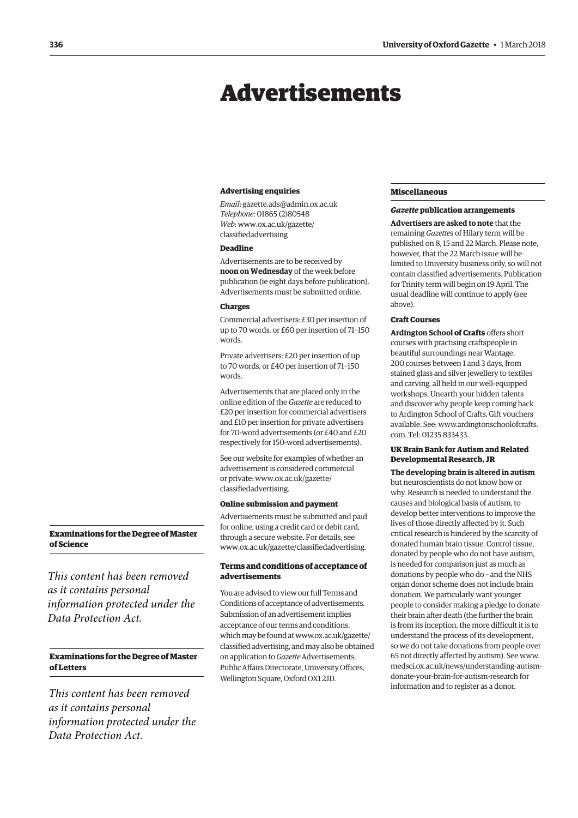## <span id="page-9-0"></span>Advertisements

#### **Advertising enquiries**

*Email*: [gazette.ads@admin.ox.ac.uk](mailto:gazette.ads@admin.ox.ac.uk)  *Telephone*: 01865 (2)80548 *Web*[: www.ox.ac.uk/gazette/](www.ox.ac.uk/gazette/classifiedadvertising) classifiedadvertising

#### **Deadline**

Advertisements are to be received by **noon on Wednesday** of the week before publication (ie eight days before publication). Advertisements must be submitted online.

#### **Charges**

Commercial advertisers: £30 per insertion of up to 70 words, or £60 per insertion of 71–150 words.

Private advertisers: £20 per insertion of up to 70 words, or £40 per insertion of 71–150 words.

Advertisements that are placed only in the online edition of the *Gazette* are reduced to £20 per insertion for commercial advertisers and £10 per insertion for private advertisers for 70-word advertisements (or £40 and £20 respectively for 150-word advertisements).

See our website for examples of whether an advertisement is considered commercial [or private: www.ox.ac.uk/gazette/](www.ox.ac.uk/gazette/classifiedadvertising) classifiedadvertising.

#### **Online submission and payment**

Advertisements must be submitted and paid for online, using a credit card or debit card, through a secure website. For details, see [www.ox.ac.uk/gazette/classifiedadvertising.](http://www.ox.ac.uk/gazette/classifiedadvertising)

#### **Terms and conditions of acceptance of advertisements**

You are advised to view our full Terms and Conditions of acceptance of advertisements. Submission of an advertisement implies acceptance of our terms and conditions, which may be found at www.ox.ac.uk/gazette/ [classified advertising, and may also be obtained](www.ox.ac.uk/gazette/classifiedadvertising)  on application to *Gazette* Advertisements, Public Affairs Directorate, University Offices, Wellington Square, Oxford OX1 2JD.

#### **Miscellaneous**

#### *Gazette* **publication arrangements**

**Advertisers are asked to note** that the remaining *Gazette*s of Hilary term will be published on 8, 15 and 22 March. Please note, however, that the 22 March issue will be limited to University business only, so will not contain classified advertisements. Publication for Trinity term will begin on 19 April. The usual deadline will continue to apply (see above).

#### **Craft Courses**

**Ardington School of Crafts** offers short courses with practising craftspeople in beautiful surroundings near Wantage. 200 courses between 1 and 3 days, from stained glass and silver jewellery to textiles and carving, all held in our well-equipped workshops. Unearth your hidden talents and discover why people keep coming back to Ardington School of Crafts. Gift vouchers [available. See: www.ardingtonschoolofcrafts.](www.ardingtonschoolofcrafts.com) com. Tel: 01235 833433.

#### **UK Brain Bank for Autism and Related Developmental Research, JR**

**The developing brain is altered in autism** but neuroscientists do not know how or why. Research is needed to understand the causes and biological basis of autism, to develop better interventions to improve the lives of those directly affected by it. Such critical research is hindered by the scarcity of donated human brain tissue. Control tissue, donated by people who do not have autism, is needed for comparison just as much as donations by people who do – and the NHS organ donor scheme does not include brain donation. We particularly want younger people to consider making a pledge to donate their brain after death (the further the brain is from its inception, the more difficult it is to understand the process of its development, so we do not take donations from people over 65 not directly affected by autism). See www. [medsci.ox.ac.uk/news/understanding-autism](www.medsci.ox.ac.uk/news/understanding-autism-donate-your-brain-for-autism-research)donate-your-brain-for-autism-research for information and to register as a donor.

#### **Examinations for the Degree of Master of Science**

*This content has been removed as it contains personal information protected under the Data Protection Act.*

#### **Examinations for the Degree of Master of Letters**

*This content has been removed as it contains personal information protected under the Data Protection Act.*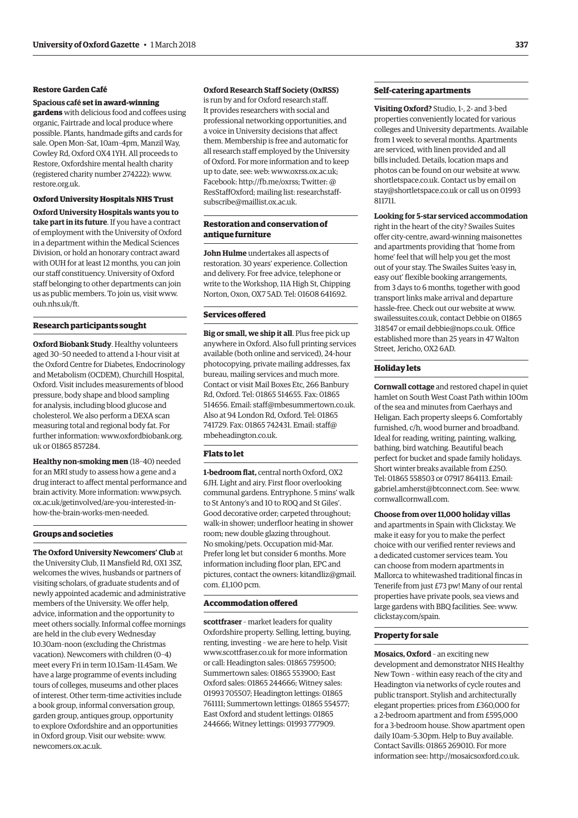#### **Restore Garden Café**

#### **Spacious café set in award-winning**

**gardens** with delicious food and coffees using organic, Fairtrade and local produce where possible. Plants, handmade gifts and cards for sale. Open Mon–Sat, 10am–4pm, Manzil Way, Cowley Rd, Oxford OX4 1YH. All proceeds to Restore, Oxfordshire mental health charity (registered charity number 274222): [www.](http://www.restore.org.uk) [restore.org.uk.](http://www.restore.org.uk)

#### **Oxford University Hospitals NHS Trust**

**Oxford University Hospitals wants you to take part in its future**. If you have a contract of employment with the University of Oxford in a department within the Medical Sciences Division, or hold an honorary contract award with OUH for at least 12 months, you can join our staff constituency. University of Oxford staff belonging to other departments can join us as public members. To join us, visit [www.](http://www.ouh.nhs.uk/ft) [ouh.nhs.uk/ft.](http://www.ouh.nhs.uk/ft)

#### **Research participants sought**

**Oxford Biobank Study**. Healthy volunteers aged 30–50 needed to attend a 1-hour visit at the Oxford Centre for Diabetes, Endocrinology and Metabolism (OCDEM), Churchill Hospital, Oxford. Visit includes measurements of blood pressure, body shape and blood sampling for analysis, including blood glucose and cholesterol. We also perform a DEXA scan measuring total and regional body fat. For [further information: www.oxfordbiobank.org.](www.oxfordbiobank.org.uk) uk or 01865 857284.

**Healthy non-smoking men** (18–40) needed for an MRI study to assess how a gene and a drug interact to affect mental performance and [brain activity. More information: www.psych.](www.psych.ox.ac.uk/getinvolved/are-you-interested-in-how-the-brain-works-men-needed) ox.ac.uk/getinvolved/are-you-interested-inhow-the-brain-works-men-needed.

#### **Groups and societies**

**The Oxford University Newcomers' Club** at the University Club, 11 Mansfield Rd, OX1 3SZ, welcomes the wives, husbands or partners of visiting scholars, of graduate students and of newly appointed academic and administrative members of the University. We offer help, advice, information and the opportunity to meet others socially. Informal coffee mornings are held in the club every Wednesday 10.30am–noon (excluding the Christmas vacation). Newcomers with children (0–4) meet every Fri in term 10.15am–11.45am. We have a large programme of events including tours of colleges, museums and other places of interest. Other term-time activities include a book group, informal conversation group, garden group, antiques group, opportunity to explore Oxfordshire and an opportunities in Oxford group. Visit our website: [www.](http://www.newcomers.ox.ac.uk) [newcomers.ox.ac.uk.](http://www.newcomers.ox.ac.uk)

#### **Oxford Research Staff Society (OxRSS)**

is run by and for Oxford research staff. It provides researchers with social and professional networking opportunities, and a voice in University decisions that affect them. Membership is free and automatic for all research staff employed by the University of Oxford. For more information and to keep up to date, see: web: [www.oxrss.ox.ac.uk;](http://www.oxrss.ox.ac.uk)  Facebook: [http://fb.me/oxrss; Tw](http://fb.me/oxrss)itter: @ [ResStaffOxford; mailing list: researchstaff](mailto:researchstaff-subscribe@maillist.ox.ac.uk)subscribe@maillist.ox.ac.uk.

#### **Restoration and conservation of antique furniture**

**John Hulme** undertakes all aspects of restoration. 30 years' experience. Collection and delivery. For free advice, telephone or write to the Workshop, 11A High St, Chipping Norton, Oxon, OX7 5AD. Tel: 01608 641692.

#### **Services offered**

**Big or small, we ship it all**. Plus free pick up anywhere in Oxford. Also full printing services available (both online and serviced), 24-hour photocopying, private mailing addresses, fax bureau, mailing services and much more. Contact or visit Mail Boxes Etc, 266 Banbury Rd, Oxford. Tel: 01865 514655. Fax: 01865 514656. Email: [staff@mbesummertown.co.uk.](mailto:staff@mbesummertown.co.uk)  Also at 94 London Rd, Oxford. Tel: 01865 [741729. Fax: 01865 742431. Email: staff@](mailto:staff@mbeheadington.co.uk) mbeheadington.co.uk.

#### **Flats to let**

**1-bedroom flat,** central north Oxford, OX2 6JH. Light and airy. First floor overlooking communal gardens. Entryphone. 5 mins' walk to St Antony's and 10 to ROQ and St Giles'. Good decorative order; carpeted throughout; walk-in shower; underfloor heating in shower room; new double glazing throughout. No smoking/pets. Occupation mid-Mar. Prefer long let but consider 6 months. More information including floor plan, EPC and [pictures, contact the owners: kitandliz@gmail.](mailto:kitandliz@gmail.com) com. £1,100 pcm.

#### **Accommodation offered**

**scottfraser** – market leaders for quality Oxfordshire property. Selling, letting, buying, renting, investing – we are here to help. Visit [www.scottfraser.co.uk fo](http://www.scottfraser.co.uk)r more information or call: Headington sales: 01865 759500; Summertown sales: 01865 553900; East Oxford sales: 01865 244666; Witney sales: 01993 705507; Headington lettings: 01865 761111; Summertown lettings: 01865 554577; East Oxford and student lettings: 01865 244666; Witney lettings: 01993 777909.

#### **Self-catering apartments**

**Visiting Oxford?** Studio, 1-, 2- and 3-bed properties conveniently located for various colleges and University departments. Available from 1 week to several months. Apartments are serviced, with linen provided and all bills included. Details, location maps and photos can be found on our website at [www.](http://www.shortletspace.co.uk) [shortletspace.co.uk. Co](http://www.shortletspace.co.uk)ntact us by email on [stay@shortletspace.co.uk or](mailto:stay@shortletspace.co.uk) call us on 01993 811711.

#### **Looking for 5-star serviced accommodation**

right in the heart of the city? Swailes Suites offer city-centre, award-winning maisonettes and apartments providing that 'home from home' feel that will help you get the most out of your stay. The Swailes Suites 'easy in, easy out' flexible booking arrangements, from 3 days to 6 months, together with good transport links make arrival and departure hassle-free. Check out our website at [www.](http://www.swailessuites.co.uk) [swailessuites.co.uk, co](http://www.swailessuites.co.uk)ntact Debbie on 01865 318547 or email [debbie@nops.co.uk. Of](mailto:debbie@nops.co.uk)fice established more than 25 years in 47 Walton Street, Jericho, OX2 6AD.

#### **Holiday lets**

**Cornwall cottage** and restored chapel in quiet hamlet on South West Coast Path within 100m of the sea and minutes from Caerhays and Heligan. Each property sleeps 6. Comfortably furnished, c/h, wood burner and broadband. Ideal for reading, writing, painting, walking, bathing, bird watching. Beautiful beach perfect for bucket and spade family holidays. Short winter breaks available from £250. Tel: 01865 558503 or 07917 864113. Email: [gabriel.amherst@btconnect.com. Se](mailto:gabriel.amherst@btconnect.com)e: [www.](http://www.cornwallcornwall.com) [cornwallcornwall.com.](http://www.cornwallcornwall.com)

**Choose from over 11,000 holiday villas** and apartments in Spain with Clickstay. We make it easy for you to make the perfect choice with our verified renter reviews and a dedicated customer services team. You can choose from modern apartments in Mallorca to whitewashed traditional fincas in Tenerife from just £73 pw! Many of our rental properties have private pools, sea views and large gardens with BBQ facilities. See: [www.](http://www.clickstay.com/spain) [clickstay.com/spain.](http://www.clickstay.com/spain)

#### **Property for sale**

**Mosaics, Oxford** – an exciting new development and demonstrator NHS Healthy New Town – within easy reach of the city and Headington via networks of cycle routes and public transport. Stylish and architecturally elegant properties: prices from £360,000 for a 2-bedroom apartment and from £595,000 for a 3-bedroom house. Show apartment open daily 10am–5.30pm. Help to Buy available. Contact Savills: 01865 269010. For more information see: [http://mosaicsoxford.co.uk.](http://mosaicsoxford.co.uk)